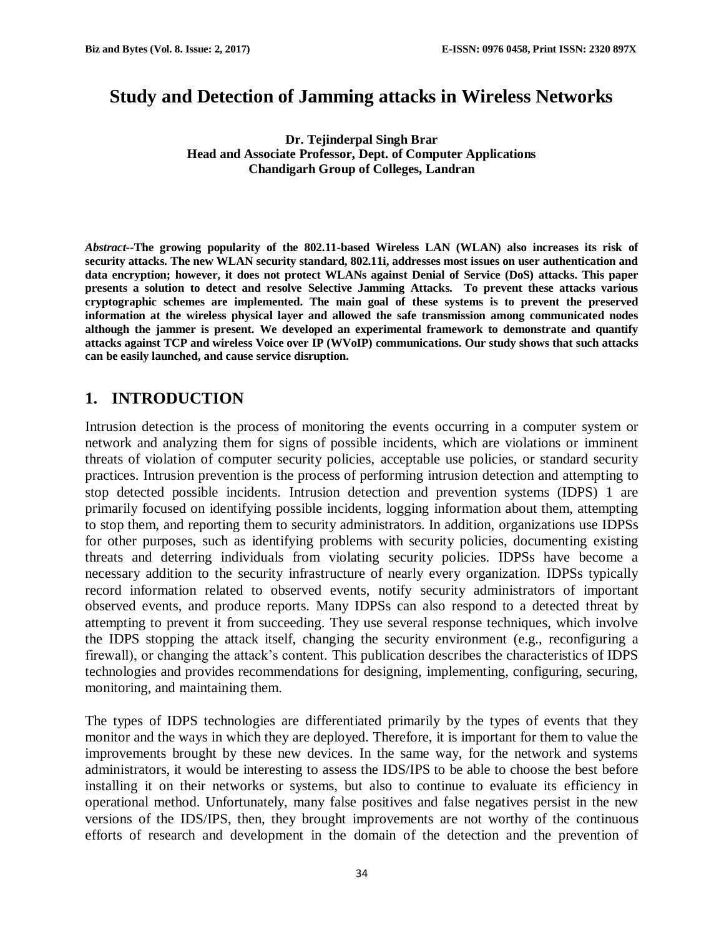# **Study and Detection of Jamming attacks in Wireless Networks**

**Dr. Tejinderpal Singh Brar Head and Associate Professor, Dept. of Computer Applications Chandigarh Group of Colleges, Landran**

*Abstract--***The growing popularity of the 802.11-based Wireless LAN (WLAN) also increases its risk of security attacks. The new WLAN security standard, 802.11i, addresses most issues on user authentication and data encryption; however, it does not protect WLANs against Denial of Service (DoS) attacks. This paper presents a solution to detect and resolve Selective Jamming Attacks. To prevent these attacks various cryptographic schemes are implemented. The main goal of these systems is to prevent the preserved information at the wireless physical layer and allowed the safe transmission among communicated nodes although the jammer is present. We developed an experimental framework to demonstrate and quantify attacks against TCP and wireless Voice over IP (WVoIP) communications. Our study shows that such attacks can be easily launched, and cause service disruption.** 

## **1. INTRODUCTION**

Intrusion detection is the process of monitoring the events occurring in a computer system or network and analyzing them for signs of possible incidents, which are violations or imminent threats of violation of computer security policies, acceptable use policies, or standard security practices. Intrusion prevention is the process of performing intrusion detection and attempting to stop detected possible incidents. Intrusion detection and prevention systems (IDPS) 1 are primarily focused on identifying possible incidents, logging information about them, attempting to stop them, and reporting them to security administrators. In addition, organizations use IDPSs for other purposes, such as identifying problems with security policies, documenting existing threats and deterring individuals from violating security policies. IDPSs have become a necessary addition to the security infrastructure of nearly every organization. IDPSs typically record information related to observed events, notify security administrators of important observed events, and produce reports. Many IDPSs can also respond to a detected threat by attempting to prevent it from succeeding. They use several response techniques, which involve the IDPS stopping the attack itself, changing the security environment (e.g., reconfiguring a firewall), or changing the attack's content. This publication describes the characteristics of IDPS technologies and provides recommendations for designing, implementing, configuring, securing, monitoring, and maintaining them.

The types of IDPS technologies are differentiated primarily by the types of events that they monitor and the ways in which they are deployed. Therefore, it is important for them to value the improvements brought by these new devices. In the same way, for the network and systems administrators, it would be interesting to assess the IDS/IPS to be able to choose the best before installing it on their networks or systems, but also to continue to evaluate its efficiency in operational method. Unfortunately, many false positives and false negatives persist in the new versions of the IDS/IPS, then, they brought improvements are not worthy of the continuous efforts of research and development in the domain of the detection and the prevention of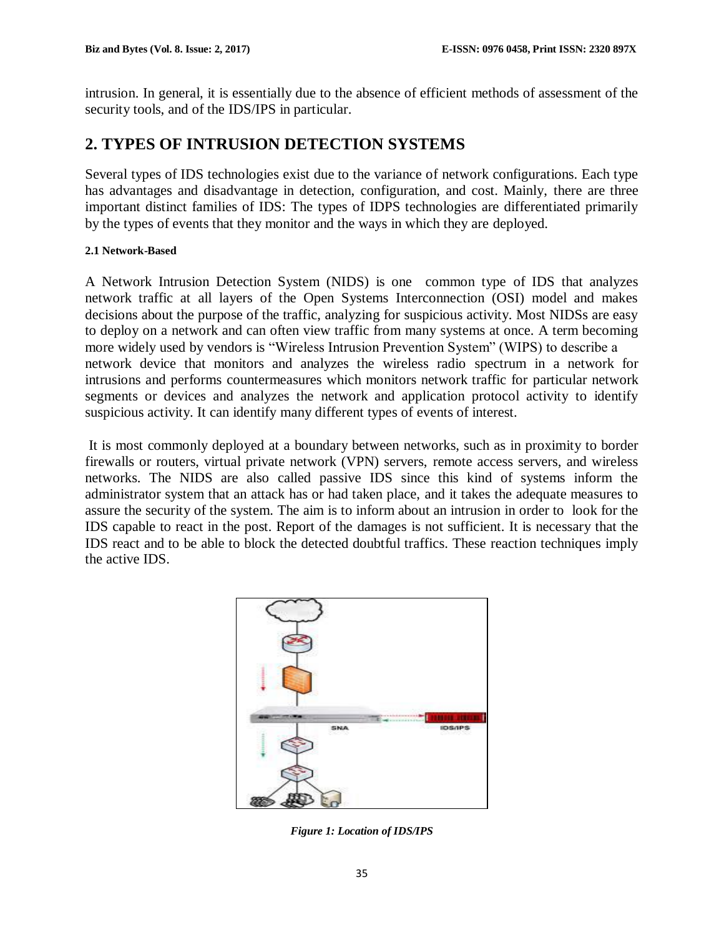intrusion. In general, it is essentially due to the absence of efficient methods of assessment of the security tools, and of the IDS/IPS in particular.

# **2. TYPES OF INTRUSION DETECTION SYSTEMS**

Several types of IDS technologies exist due to the variance of network configurations. Each type has advantages and disadvantage in detection, configuration, and cost. Mainly, there are three important distinct families of IDS: The types of IDPS technologies are differentiated primarily by the types of events that they monitor and the ways in which they are deployed.

#### **2.1 Network-Based**

A Network Intrusion Detection System (NIDS) is one common type of IDS that analyzes network traffic at all layers of the Open Systems Interconnection (OSI) model and makes decisions about the purpose of the traffic, analyzing for suspicious activity. Most NIDSs are easy to deploy on a network and can often view traffic from many systems at once. A term becoming more widely used by vendors is "Wireless Intrusion Prevention System" (WIPS) to describe a network device that monitors and analyzes the wireless radio spectrum in a network for intrusions and performs countermeasures which monitors network traffic for particular network segments or devices and analyzes the network and application protocol activity to identify suspicious activity. It can identify many different types of events of interest.

It is most commonly deployed at a boundary between networks, such as in proximity to border firewalls or routers, virtual private network (VPN) servers, remote access servers, and wireless networks. The NIDS are also called passive IDS since this kind of systems inform the administrator system that an attack has or had taken place, and it takes the adequate measures to assure the security of the system. The aim is to inform about an intrusion in order to look for the IDS capable to react in the post. Report of the damages is not sufficient. It is necessary that the IDS react and to be able to block the detected doubtful traffics. These reaction techniques imply the active IDS.



*Figure 1: Location of IDS/IPS*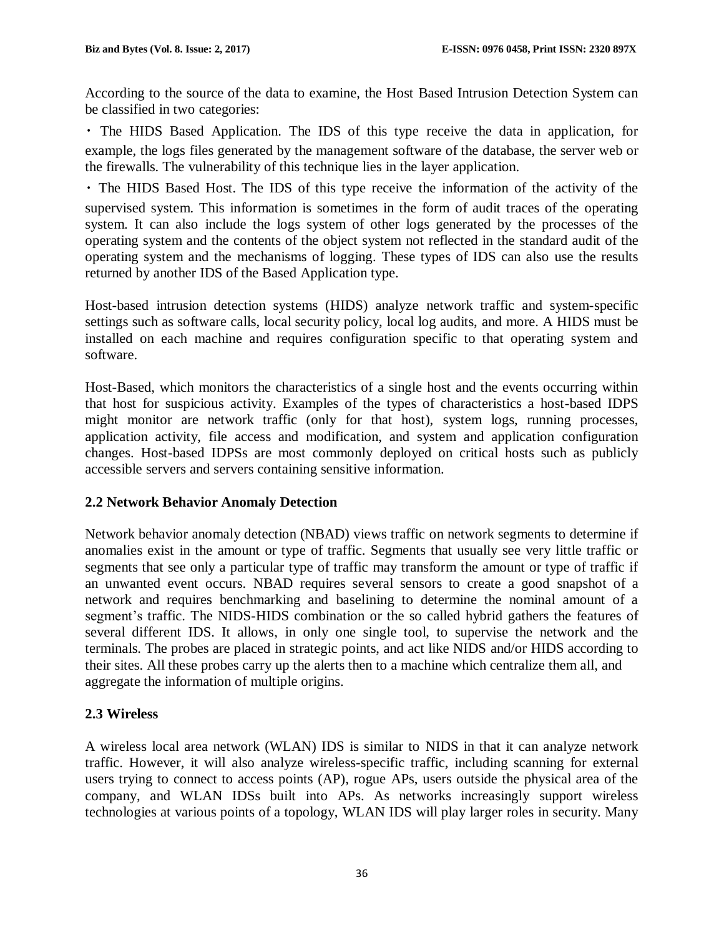According to the source of the data to examine, the Host Based Intrusion Detection System can be classified in two categories:

The HIDS Based Application. The IDS of this type receive the data in application, for example, the logs files generated by the management software of the database, the server web or the firewalls. The vulnerability of this technique lies in the layer application.

The HIDS Based Host. The IDS of this type receive the information of the activity of the supervised system. This information is sometimes in the form of audit traces of the operating system. It can also include the logs system of other logs generated by the processes of the operating system and the contents of the object system not reflected in the standard audit of the operating system and the mechanisms of logging. These types of IDS can also use the results returned by another IDS of the Based Application type.

Host-based intrusion detection systems (HIDS) analyze network traffic and system-specific settings such as software calls, local security policy, local log audits, and more. A HIDS must be installed on each machine and requires configuration specific to that operating system and software.

Host-Based, which monitors the characteristics of a single host and the events occurring within that host for suspicious activity. Examples of the types of characteristics a host-based IDPS might monitor are network traffic (only for that host), system logs, running processes, application activity, file access and modification, and system and application configuration changes. Host-based IDPSs are most commonly deployed on critical hosts such as publicly accessible servers and servers containing sensitive information.

## **2.2 Network Behavior Anomaly Detection**

Network behavior anomaly detection (NBAD) views traffic on network segments to determine if anomalies exist in the amount or type of traffic. Segments that usually see very little traffic or segments that see only a particular type of traffic may transform the amount or type of traffic if an unwanted event occurs. NBAD requires several sensors to create a good snapshot of a network and requires benchmarking and baselining to determine the nominal amount of a segment's traffic. The NIDS-HIDS combination or the so called hybrid gathers the features of several different IDS. It allows, in only one single tool, to supervise the network and the terminals. The probes are placed in strategic points, and act like NIDS and/or HIDS according to their sites. All these probes carry up the alerts then to a machine which centralize them all, and aggregate the information of multiple origins.

## **2.3 Wireless**

A wireless local area network (WLAN) IDS is similar to NIDS in that it can analyze network traffic. However, it will also analyze wireless-specific traffic, including scanning for external users trying to connect to access points (AP), rogue APs, users outside the physical area of the company, and WLAN IDSs built into APs. As networks increasingly support wireless technologies at various points of a topology, WLAN IDS will play larger roles in security. Many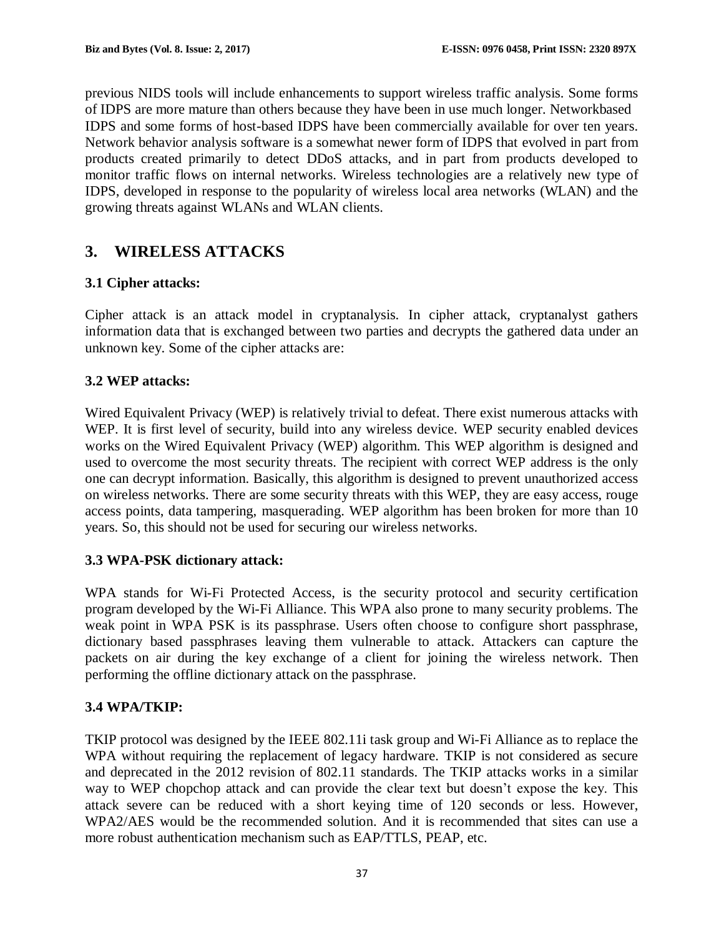previous NIDS tools will include enhancements to support wireless traffic analysis. Some forms of IDPS are more mature than others because they have been in use much longer. Networkbased IDPS and some forms of host-based IDPS have been commercially available for over ten years. Network behavior analysis software is a somewhat newer form of IDPS that evolved in part from products created primarily to detect DDoS attacks, and in part from products developed to monitor traffic flows on internal networks. Wireless technologies are a relatively new type of IDPS, developed in response to the popularity of wireless local area networks (WLAN) and the growing threats against WLANs and WLAN clients.

# **3. WIRELESS ATTACKS**

### **3.1 Cipher attacks:**

Cipher attack is an attack model in cryptanalysis. In cipher attack, cryptanalyst gathers information data that is exchanged between two parties and decrypts the gathered data under an unknown key. Some of the cipher attacks are:

### **3.2 WEP attacks:**

Wired Equivalent Privacy (WEP) is relatively trivial to defeat. There exist numerous attacks with WEP. It is first level of security, build into any wireless device. WEP security enabled devices works on the Wired Equivalent Privacy (WEP) algorithm. This WEP algorithm is designed and used to overcome the most security threats. The recipient with correct WEP address is the only one can decrypt information. Basically, this algorithm is designed to prevent unauthorized access on wireless networks. There are some security threats with this WEP, they are easy access, rouge access points, data tampering, masquerading. WEP algorithm has been broken for more than 10 years. So, this should not be used for securing our wireless networks.

### **3.3 WPA-PSK dictionary attack:**

WPA stands for Wi-Fi Protected Access, is the security protocol and security certification program developed by the Wi-Fi Alliance. This WPA also prone to many security problems. The weak point in WPA PSK is its passphrase. Users often choose to configure short passphrase, dictionary based passphrases leaving them vulnerable to attack. Attackers can capture the packets on air during the key exchange of a client for joining the wireless network. Then performing the offline dictionary attack on the passphrase.

### **3.4 WPA/TKIP:**

TKIP protocol was designed by the IEEE 802.11i task group and Wi-Fi Alliance as to replace the WPA without requiring the replacement of legacy hardware. TKIP is not considered as secure and deprecated in the 2012 revision of 802.11 standards. The TKIP attacks works in a similar way to WEP chopchop attack and can provide the clear text but doesn't expose the key. This attack severe can be reduced with a short keying time of 120 seconds or less. However, WPA2/AES would be the recommended solution. And it is recommended that sites can use a more robust authentication mechanism such as EAP/TTLS, PEAP, etc.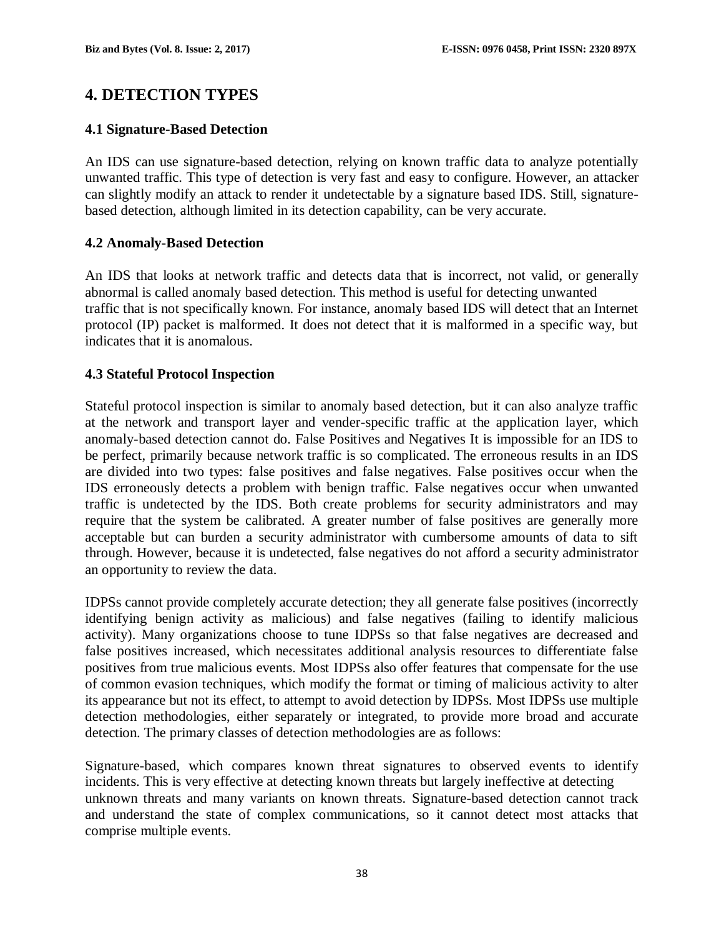## **4. DETECTION TYPES**

#### **4.1 Signature-Based Detection**

An IDS can use signature-based detection, relying on known traffic data to analyze potentially unwanted traffic. This type of detection is very fast and easy to configure. However, an attacker can slightly modify an attack to render it undetectable by a signature based IDS. Still, signaturebased detection, although limited in its detection capability, can be very accurate.

#### **4.2 Anomaly-Based Detection**

An IDS that looks at network traffic and detects data that is incorrect, not valid, or generally abnormal is called anomaly based detection. This method is useful for detecting unwanted traffic that is not specifically known. For instance, anomaly based IDS will detect that an Internet protocol (IP) packet is malformed. It does not detect that it is malformed in a specific way, but indicates that it is anomalous.

#### **4.3 Stateful Protocol Inspection**

Stateful protocol inspection is similar to anomaly based detection, but it can also analyze traffic at the network and transport layer and vender-specific traffic at the application layer, which anomaly-based detection cannot do. False Positives and Negatives It is impossible for an IDS to be perfect, primarily because network traffic is so complicated. The erroneous results in an IDS are divided into two types: false positives and false negatives. False positives occur when the IDS erroneously detects a problem with benign traffic. False negatives occur when unwanted traffic is undetected by the IDS. Both create problems for security administrators and may require that the system be calibrated. A greater number of false positives are generally more acceptable but can burden a security administrator with cumbersome amounts of data to sift through. However, because it is undetected, false negatives do not afford a security administrator an opportunity to review the data.

IDPSs cannot provide completely accurate detection; they all generate false positives (incorrectly identifying benign activity as malicious) and false negatives (failing to identify malicious activity). Many organizations choose to tune IDPSs so that false negatives are decreased and false positives increased, which necessitates additional analysis resources to differentiate false positives from true malicious events. Most IDPSs also offer features that compensate for the use of common evasion techniques, which modify the format or timing of malicious activity to alter its appearance but not its effect, to attempt to avoid detection by IDPSs. Most IDPSs use multiple detection methodologies, either separately or integrated, to provide more broad and accurate detection. The primary classes of detection methodologies are as follows:

Signature-based, which compares known threat signatures to observed events to identify incidents. This is very effective at detecting known threats but largely ineffective at detecting unknown threats and many variants on known threats. Signature-based detection cannot track and understand the state of complex communications, so it cannot detect most attacks that comprise multiple events.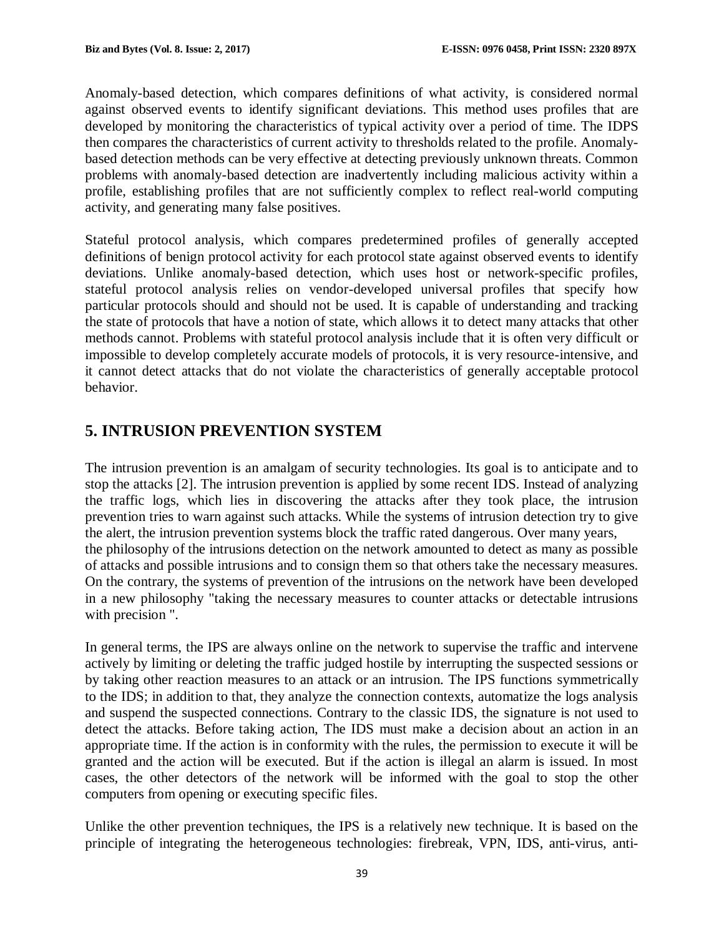Anomaly-based detection, which compares definitions of what activity, is considered normal against observed events to identify significant deviations. This method uses profiles that are developed by monitoring the characteristics of typical activity over a period of time. The IDPS then compares the characteristics of current activity to thresholds related to the profile. Anomalybased detection methods can be very effective at detecting previously unknown threats. Common problems with anomaly-based detection are inadvertently including malicious activity within a profile, establishing profiles that are not sufficiently complex to reflect real-world computing activity, and generating many false positives.

Stateful protocol analysis, which compares predetermined profiles of generally accepted definitions of benign protocol activity for each protocol state against observed events to identify deviations. Unlike anomaly-based detection, which uses host or network-specific profiles, stateful protocol analysis relies on vendor-developed universal profiles that specify how particular protocols should and should not be used. It is capable of understanding and tracking the state of protocols that have a notion of state, which allows it to detect many attacks that other methods cannot. Problems with stateful protocol analysis include that it is often very difficult or impossible to develop completely accurate models of protocols, it is very resource-intensive, and it cannot detect attacks that do not violate the characteristics of generally acceptable protocol behavior.

# **5. INTRUSION PREVENTION SYSTEM**

The intrusion prevention is an amalgam of security technologies. Its goal is to anticipate and to stop the attacks [2]. The intrusion prevention is applied by some recent IDS. Instead of analyzing the traffic logs, which lies in discovering the attacks after they took place, the intrusion prevention tries to warn against such attacks. While the systems of intrusion detection try to give the alert, the intrusion prevention systems block the traffic rated dangerous. Over many years, the philosophy of the intrusions detection on the network amounted to detect as many as possible of attacks and possible intrusions and to consign them so that others take the necessary measures. On the contrary, the systems of prevention of the intrusions on the network have been developed in a new philosophy "taking the necessary measures to counter attacks or detectable intrusions with precision ".

In general terms, the IPS are always online on the network to supervise the traffic and intervene actively by limiting or deleting the traffic judged hostile by interrupting the suspected sessions or by taking other reaction measures to an attack or an intrusion. The IPS functions symmetrically to the IDS; in addition to that, they analyze the connection contexts, automatize the logs analysis and suspend the suspected connections. Contrary to the classic IDS, the signature is not used to detect the attacks. Before taking action, The IDS must make a decision about an action in an appropriate time. If the action is in conformity with the rules, the permission to execute it will be granted and the action will be executed. But if the action is illegal an alarm is issued. In most cases, the other detectors of the network will be informed with the goal to stop the other computers from opening or executing specific files.

Unlike the other prevention techniques, the IPS is a relatively new technique. It is based on the principle of integrating the heterogeneous technologies: firebreak, VPN, IDS, anti-virus, anti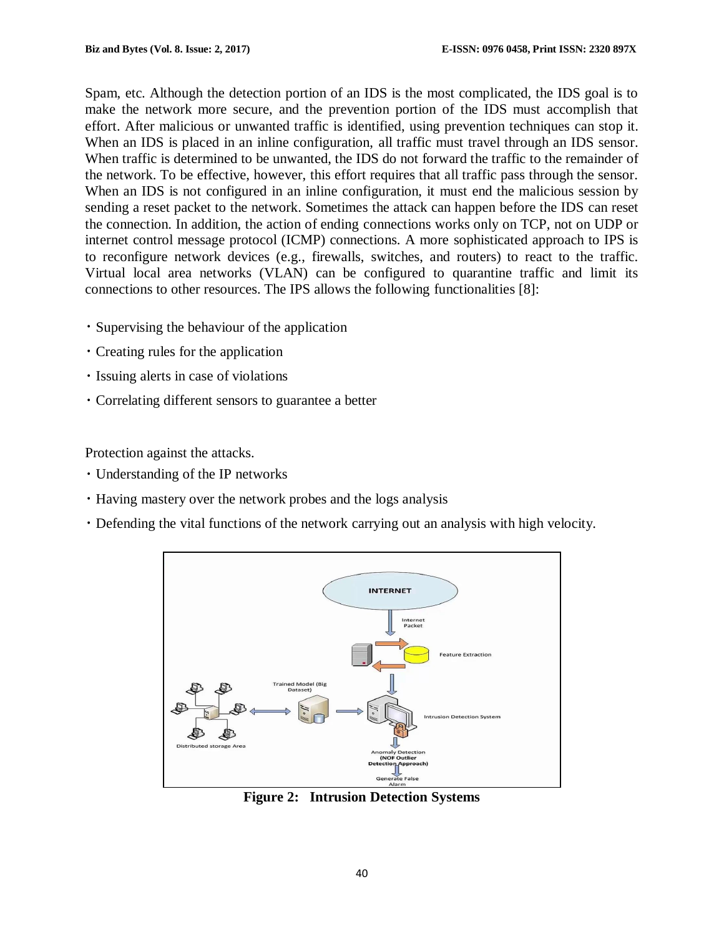Spam, etc. Although the detection portion of an IDS is the most complicated, the IDS goal is to make the network more secure, and the prevention portion of the IDS must accomplish that effort. After malicious or unwanted traffic is identified, using prevention techniques can stop it. When an IDS is placed in an inline configuration, all traffic must travel through an IDS sensor. When traffic is determined to be unwanted, the IDS do not forward the traffic to the remainder of the network. To be effective, however, this effort requires that all traffic pass through the sensor. When an IDS is not configured in an inline configuration, it must end the malicious session by sending a reset packet to the network. Sometimes the attack can happen before the IDS can reset the connection. In addition, the action of ending connections works only on TCP, not on UDP or internet control message protocol (ICMP) connections. A more sophisticated approach to IPS is to reconfigure network devices (e.g., firewalls, switches, and routers) to react to the traffic. Virtual local area networks (VLAN) can be configured to quarantine traffic and limit its connections to other resources. The IPS allows the following functionalities [8]:

- Supervising the behaviour of the application
- Creating rules for the application
- Issuing alerts in case of violations
- Correlating different sensors to guarantee a better

Protection against the attacks.

- Understanding of the IP networks
- Having mastery over the network probes and the logs analysis
- Defending the vital functions of the network carrying out an analysis with high velocity.



**Figure 2: Intrusion Detection Systems**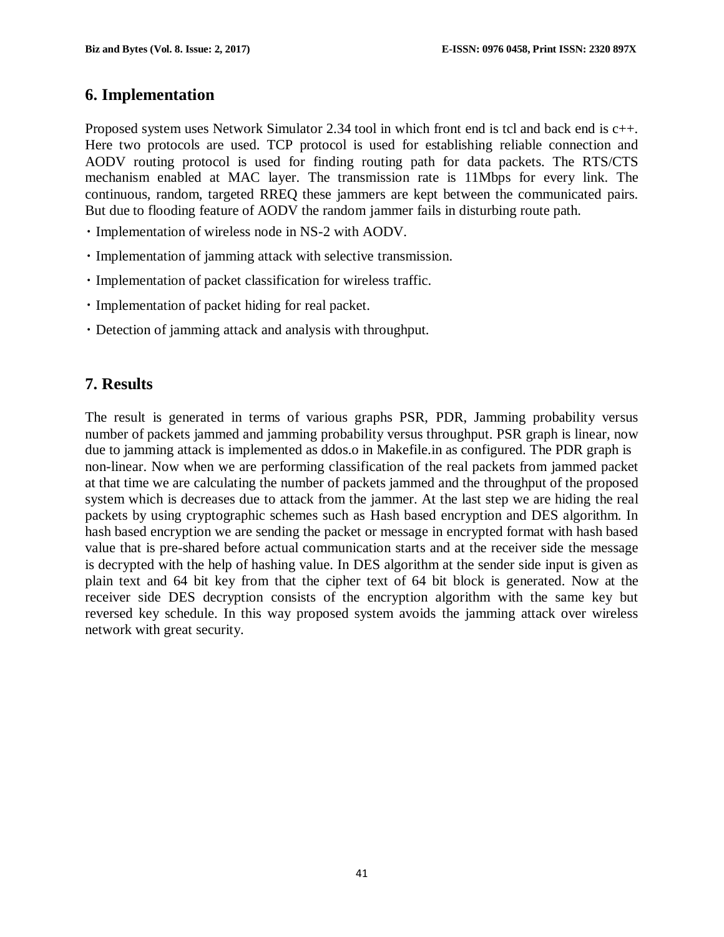### **6. Implementation**

Proposed system uses Network Simulator 2.34 tool in which front end is tcl and back end is c++. Here two protocols are used. TCP protocol is used for establishing reliable connection and AODV routing protocol is used for finding routing path for data packets. The RTS/CTS mechanism enabled at MAC layer. The transmission rate is 11Mbps for every link. The continuous, random, targeted RREQ these jammers are kept between the communicated pairs. But due to flooding feature of AODV the random jammer fails in disturbing route path.

- Implementation of wireless node in NS-2 with AODV.
- Implementation of jamming attack with selective transmission.
- Implementation of packet classification for wireless traffic.
- Implementation of packet hiding for real packet.
- Detection of jamming attack and analysis with throughput.

## **7. Results**

The result is generated in terms of various graphs PSR, PDR, Jamming probability versus number of packets jammed and jamming probability versus throughput. PSR graph is linear, now due to jamming attack is implemented as ddos.o in Makefile.in as configured. The PDR graph is non-linear. Now when we are performing classification of the real packets from jammed packet at that time we are calculating the number of packets jammed and the throughput of the proposed system which is decreases due to attack from the jammer. At the last step we are hiding the real packets by using cryptographic schemes such as Hash based encryption and DES algorithm. In hash based encryption we are sending the packet or message in encrypted format with hash based value that is pre-shared before actual communication starts and at the receiver side the message is decrypted with the help of hashing value. In DES algorithm at the sender side input is given as plain text and 64 bit key from that the cipher text of 64 bit block is generated. Now at the receiver side DES decryption consists of the encryption algorithm with the same key but reversed key schedule. In this way proposed system avoids the jamming attack over wireless network with great security.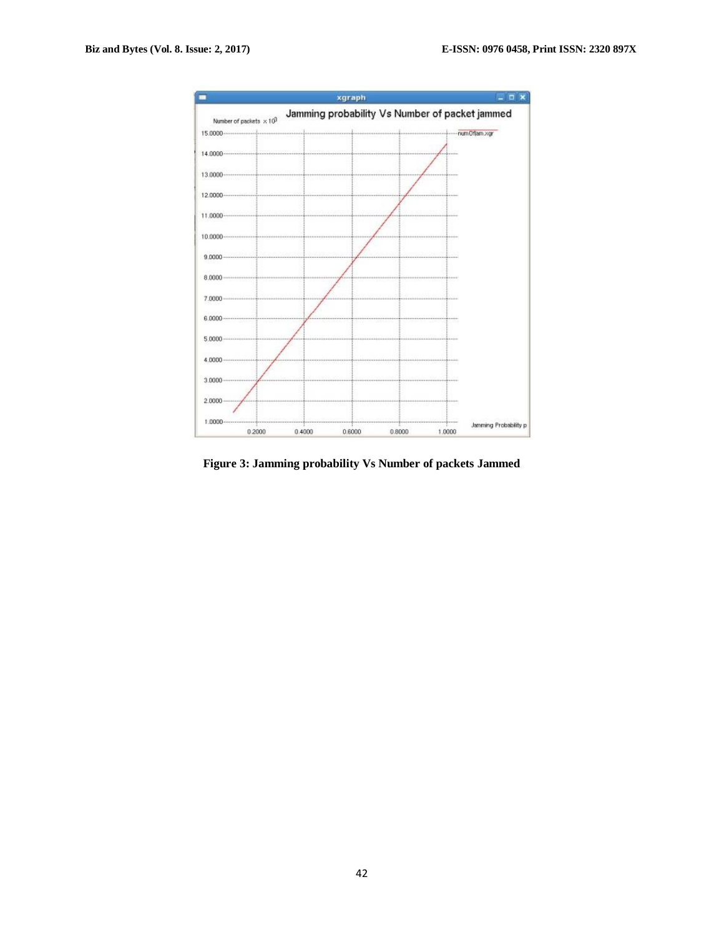

**Figure 3: Jamming probability Vs Number of packets Jammed**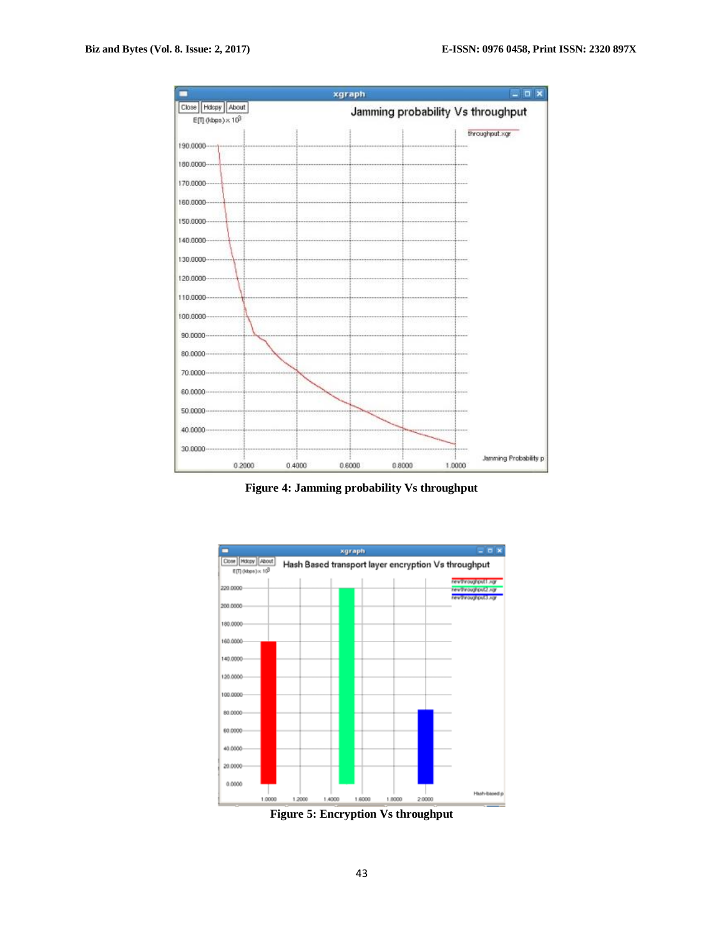

**Figure 4: Jamming probability Vs throughput**



**Figure 5: Encryption Vs throughput**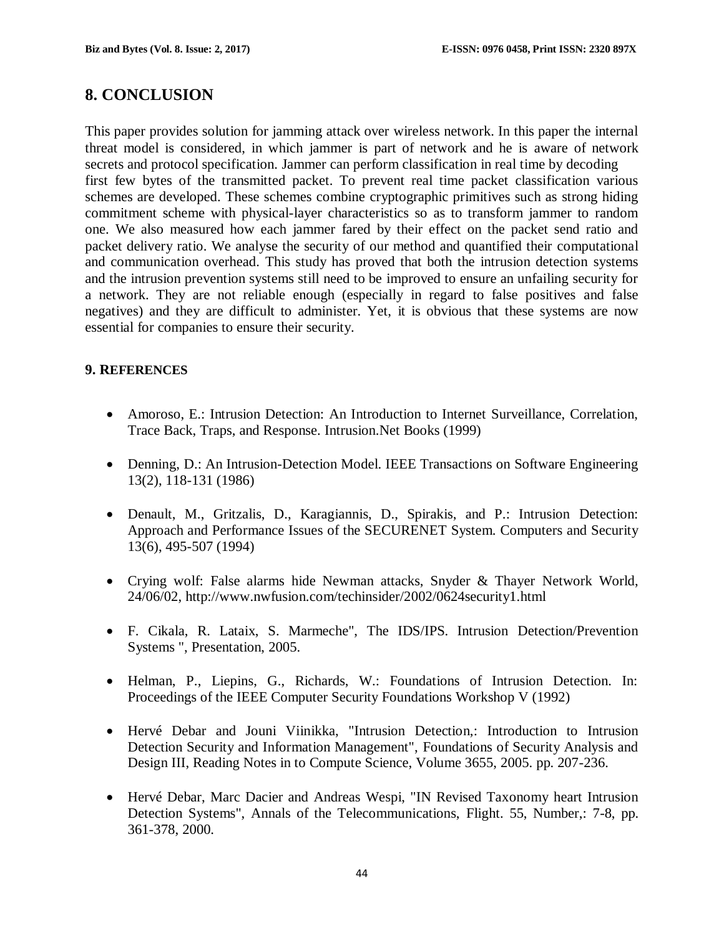# **8. CONCLUSION**

This paper provides solution for jamming attack over wireless network. In this paper the internal threat model is considered, in which jammer is part of network and he is aware of network secrets and protocol specification. Jammer can perform classification in real time by decoding first few bytes of the transmitted packet. To prevent real time packet classification various schemes are developed. These schemes combine cryptographic primitives such as strong hiding commitment scheme with physical-layer characteristics so as to transform jammer to random one. We also measured how each jammer fared by their effect on the packet send ratio and packet delivery ratio. We analyse the security of our method and quantified their computational and communication overhead. This study has proved that both the intrusion detection systems and the intrusion prevention systems still need to be improved to ensure an unfailing security for a network. They are not reliable enough (especially in regard to false positives and false negatives) and they are difficult to administer. Yet, it is obvious that these systems are now essential for companies to ensure their security.

#### **9. REFERENCES**

- Amoroso, E.: Intrusion Detection: An Introduction to Internet Surveillance, Correlation, Trace Back, Traps, and Response. Intrusion.Net Books (1999)
- Denning, D.: An Intrusion-Detection Model. IEEE Transactions on Software Engineering 13(2), 118-131 (1986)
- Denault, M., Gritzalis, D., Karagiannis, D., Spirakis, and P.: Intrusion Detection: Approach and Performance Issues of the SECURENET System. Computers and Security 13(6), 495-507 (1994)
- Crying wolf: False alarms hide Newman attacks, Snyder & Thayer Network World, 24/06/02, http://www.nwfusion.com/techinsider/2002/0624security1.html
- F. Cikala, R. Lataix, S. Marmeche", The IDS/IPS. Intrusion Detection/Prevention Systems ", Presentation, 2005.
- Helman, P., Liepins, G., Richards, W.: Foundations of Intrusion Detection. In: Proceedings of the IEEE Computer Security Foundations Workshop V (1992)
- Hervé Debar and Jouni Viinikka, "Intrusion Detection,: Introduction to Intrusion Detection Security and Information Management", Foundations of Security Analysis and Design III, Reading Notes in to Compute Science, Volume 3655, 2005. pp. 207-236.
- Hervé Debar, Marc Dacier and Andreas Wespi, "IN Revised Taxonomy heart Intrusion Detection Systems", Annals of the Telecommunications, Flight. 55, Number,: 7-8, pp. 361-378, 2000.